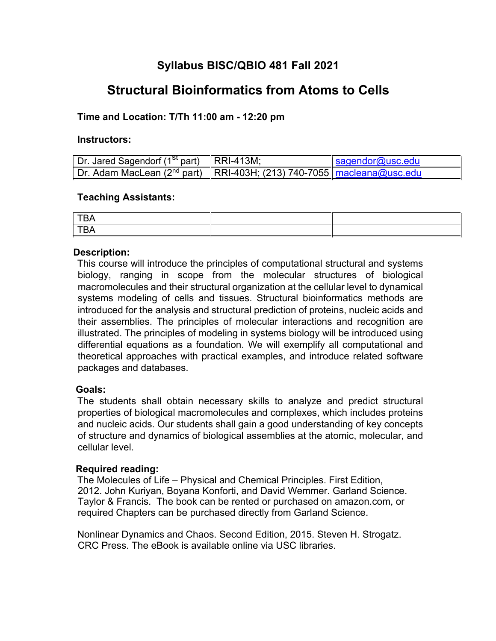## **Syllabus BISC/QBIO 481 Fall 2021**

# **Structural Bioinformatics from Atoms to Cells**

## **Time and Location: T/Th 11:00 am - 12:20 pm**

#### **Instructors:**

| Dr. Jared Sagendorf $(1st part)$ RRI-413M;                                            | sagger@usc.edu |
|---------------------------------------------------------------------------------------|----------------|
| Dr. Adam MacLean (2 <sup>nd</sup> part)   RRI-403H; (213) 740-7055   macleana@usc.edu |                |

#### **Teaching Assistants:**

## **Description:**

This course will introduce the principles of computational structural and systems biology, ranging in scope from the molecular structures of biological macromolecules and their structural organization at the cellular level to dynamical systems modeling of cells and tissues. Structural bioinformatics methods are introduced for the analysis and structural prediction of proteins, nucleic acids and their assemblies. The principles of molecular interactions and recognition are illustrated. The principles of modeling in systems biology will be introduced using differential equations as a foundation. We will exemplify all computational and theoretical approaches with practical examples, and introduce related software packages and databases.

## **Goals:**

The students shall obtain necessary skills to analyze and predict structural properties of biological macromolecules and complexes, which includes proteins and nucleic acids. Our students shall gain a good understanding of key concepts of structure and dynamics of biological assemblies at the atomic, molecular, and cellular level.

## **Required reading:**

The Molecules of Life – Physical and Chemical Principles. First Edition, 2012. John Kuriyan, Boyana Konforti, and David Wemmer. Garland Science. Taylor & Francis. The book can be rented or purchased on amazon.com, or required Chapters can be purchased directly from Garland Science.

Nonlinear Dynamics and Chaos. Second Edition, 2015. Steven H. Strogatz. CRC Press. The eBook is available online via USC libraries.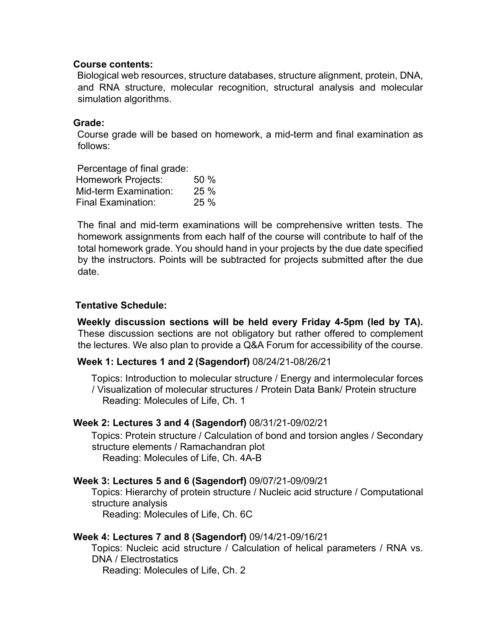#### **Course contents:**

Biological web resources, structure databases, structure alignment, protein, DNA, and RNA structure, molecular recognition, structural analysis and molecular simulation algorithms.

#### **Grade:**

Course grade will be based on homework, a mid-term and final examination as follows:

Percentage of final grade: Homework Projects: 50 % Mid-term Examination: 25 % Final Examination: 25 %

The final and mid-term examinations will be comprehensive written tests. The homework assignments from each half of the course will contribute to half of the total homework grade. You should hand in your projects by the due date specified by the instructors. Points will be subtracted for projects submitted after the due date.

## **Tentative Schedule:**

**Weekly discussion sections will be held every Friday 4-5pm (led by TA).**  These discussion sections are not obligatory but rather offered to complement the lectures. We also plan to provide a Q&A Forum for accessibility of the course.

## **Week 1: Lectures 1 and 2 (Sagendorf)** 08/24/21-08/26/21

Topics: Introduction to molecular structure / Energy and intermolecular forces / Visualization of molecular structures / Protein Data Bank/ Protein structure Reading: Molecules of Life, Ch. 1

## **Week 2: Lectures 3 and 4 (Sagendorf)** 08/31/21-09/02/21

Topics: Protein structure / Calculation of bond and torsion angles / Secondary structure elements / Ramachandran plot Reading: Molecules of Life, Ch. 4A-B

## **Week 3: Lectures 5 and 6 (Sagendorf)** 09/07/21-09/09/21

Topics: Hierarchy of protein structure / Nucleic acid structure / Computational structure analysis

Reading: Molecules of Life, Ch. 6C

## **Week 4: Lectures 7 and 8 (Sagendorf)** 09/14/21-09/16/21

Topics: Nucleic acid structure / Calculation of helical parameters / RNA vs. DNA / Electrostatics

Reading: Molecules of Life, Ch. 2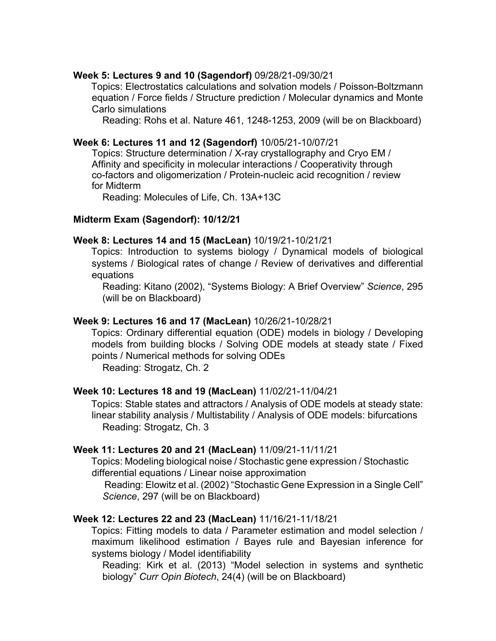#### **Week 5: Lectures 9 and 10 (Sagendorf)** 09/28/21-09/30/21

Topics: Electrostatics calculations and solvation models / Poisson-Boltzmann equation / Force fields / Structure prediction / Molecular dynamics and Monte Carlo simulations

Reading: Rohs et al. Nature 461, 1248-1253, 2009 (will be on Blackboard)

#### **Week 6: Lectures 11 and 12 (Sagendorf)** 10/05/21-10/07/21

Topics: Structure determination / X-ray crystallography and Cryo EM / Affinity and specificity in molecular interactions / Cooperativity through co-factors and oligomerization / Protein-nucleic acid recognition / review for Midterm

Reading: Molecules of Life, Ch. 13A+13C

## **Midterm Exam (Sagendorf): 10/12/21**

#### **Week 8: Lectures 14 and 15 (MacLean)** 10/19/21-10/21/21

Topics: Introduction to systems biology / Dynamical models of biological systems / Biological rates of change / Review of derivatives and differential equations

Reading: Kitano (2002), "Systems Biology: A Brief Overview" *Science*, 295 (will be on Blackboard)

#### **Week 9: Lectures 16 and 17 (MacLean)** 10/26/21-10/28/21

Topics: Ordinary differential equation (ODE) models in biology / Developing models from building blocks / Solving ODE models at steady state / Fixed points / Numerical methods for solving ODEs

Reading: Strogatz, Ch. 2

## **Week 10: Lectures 18 and 19 (MacLean)** 11/02/21-11/04/21

Topics: Stable states and attractors / Analysis of ODE models at steady state: linear stability analysis / Multistability / Analysis of ODE models: bifurcations Reading: Strogatz, Ch. 3

## **Week 11: Lectures 20 and 21 (MacLean)** 11/09/21-11/11/21

Topics: Modeling biological noise / Stochastic gene expression / Stochastic differential equations / Linear noise approximation

Reading: Elowitz et al. (2002) "Stochastic Gene Expression in a Single Cell" *Science*, 297 (will be on Blackboard)

## **Week 12: Lectures 22 and 23 (MacLean)** 11/16/21-11/18/21

Topics: Fitting models to data / Parameter estimation and model selection / maximum likelihood estimation / Bayes rule and Bayesian inference for systems biology / Model identifiability

Reading: Kirk et al. (2013) "Model selection in systems and synthetic biology" *Curr Opin Biotech*, 24(4) (will be on Blackboard)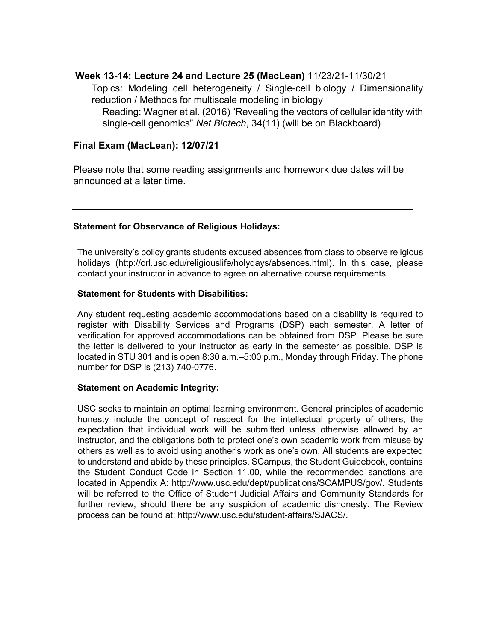#### **Week 13-14: Lecture 24 and Lecture 25 (MacLean)** 11/23/21-11/30/21

Topics: Modeling cell heterogeneity / Single-cell biology / Dimensionality reduction / Methods for multiscale modeling in biology Reading: Wagner et al. (2016) "Revealing the vectors of cellular identity with single-cell genomics" *Nat Biotech*, 34(11) (will be on Blackboard)

#### **Final Exam (MacLean): 12/07/21**

Please note that some reading assignments and homework due dates will be announced at a later time.

#### **Statement for Observance of Religious Holidays:**

The university's policy grants students excused absences from class to observe religious holidays (http://orl.usc.edu/religiouslife/holydays/absences.html). In this case, please contact your instructor in advance to agree on alternative course requirements.

#### **Statement for Students with Disabilities:**

Any student requesting academic accommodations based on a disability is required to register with Disability Services and Programs (DSP) each semester. A letter of verification for approved accommodations can be obtained from DSP. Please be sure the letter is delivered to your instructor as early in the semester as possible. DSP is located in STU 301 and is open 8:30 a.m.–5:00 p.m., Monday through Friday. The phone number for DSP is (213) 740-0776.

#### **Statement on Academic Integrity:**

USC seeks to maintain an optimal learning environment. General principles of academic honesty include the concept of respect for the intellectual property of others, the expectation that individual work will be submitted unless otherwise allowed by an instructor, and the obligations both to protect one's own academic work from misuse by others as well as to avoid using another's work as one's own. All students are expected to understand and abide by these principles. SCampus, the Student Guidebook, contains the Student Conduct Code in Section 11.00, while the recommended sanctions are located in Appendix A: http://www.usc.edu/dept/publications/SCAMPUS/gov/. Students will be referred to the Office of Student Judicial Affairs and Community Standards for further review, should there be any suspicion of academic dishonesty. The Review process can be found at: http://www.usc.edu/student-affairs/SJACS/.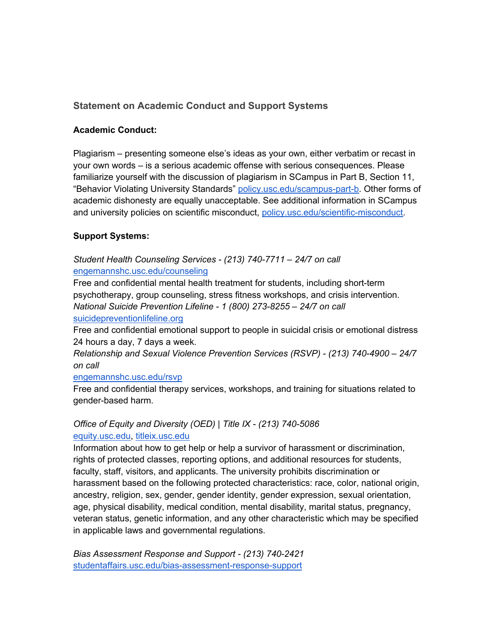## **Statement on Academic Conduct and Support Systems**

#### **Academic Conduct:**

Plagiarism – presenting someone else's ideas as your own, either verbatim or recast in your own words – is a serious academic offense with serious consequences. Please familiarize yourself with the discussion of plagiarism in SCampus in Part B, Section 11, "Behavior Violating University Standards" policy.usc.edu/scampus-part-b. Other forms of academic dishonesty are equally unacceptable. See additional information in SCampus and university policies on scientific misconduct, policy.usc.edu/scientific-misconduct.

## **Support Systems:**

#### *Student Health Counseling Services - (213) 740-7711 – 24/7 on call* engemannshc.usc.edu/counseling

Free and confidential mental health treatment for students, including short-term psychotherapy, group counseling, stress fitness workshops, and crisis intervention. *National Suicide Prevention Lifeline - 1 (800) 273-8255 – 24/7 on call*

#### suicidepreventionlifeline.org

Free and confidential emotional support to people in suicidal crisis or emotional distress 24 hours a day, 7 days a week.

*Relationship and Sexual Violence Prevention Services (RSVP) - (213) 740-4900 – 24/7 on call*

#### engemannshc.usc.edu/rsvp

Free and confidential therapy services, workshops, and training for situations related to gender-based harm.

## *Office of Equity and Diversity (OED) | Title IX - (213) 740-5086* equity.usc.edu, titleix.usc.edu

Information about how to get help or help a survivor of harassment or discrimination, rights of protected classes, reporting options, and additional resources for students, faculty, staff, visitors, and applicants. The university prohibits discrimination or harassment based on the following protected characteristics: race, color, national origin, ancestry, religion, sex, gender, gender identity, gender expression, sexual orientation, age, physical disability, medical condition, mental disability, marital status, pregnancy, veteran status, genetic information, and any other characteristic which may be specified in applicable laws and governmental regulations.

*Bias Assessment Response and Support - (213) 740-2421* studentaffairs.usc.edu/bias-assessment-response-support